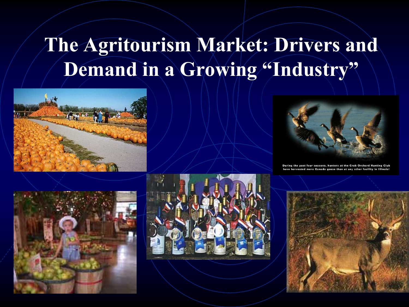#### **The Agritourism Market: Drivers and**  Demand in a Growing "Industry"







During the past four seasons, hunters at the Crab Orchard Hunting Club have harvested more Canada geese than at any other facility in Illinois!

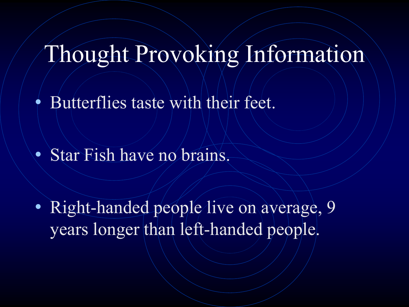## Thought Provoking Information

• Butterflies taste with their feet.

• Star Fish have no brains.

• Right-handed people live on average, 9 years longer than left-handed people.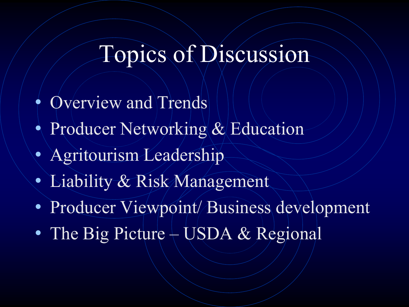## Topics of Discussion

- Overview and Trends
- Producer Networking & Education
- Agritourism Leadership
- Liability & Risk Management
- Producer Viewpoint/Business development
- The Big Picture USDA & Regional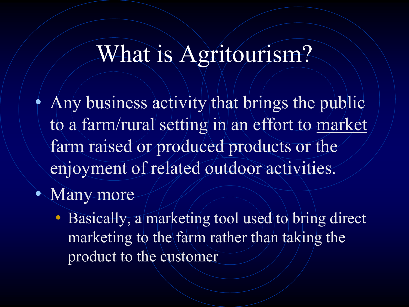#### What is Agritourism?

• Any business activity that brings the public to a farm/rural setting in an effort to market farm raised or produced products or the enjoyment of related outdoor activities.

• Many more

• Basically, a marketing tool used to bring direct marketing to the farm rather than taking the product to the customer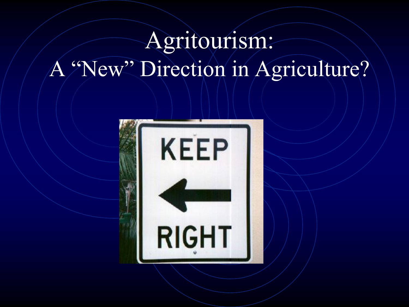## Agritourism: A "New" Direction in Agriculture?

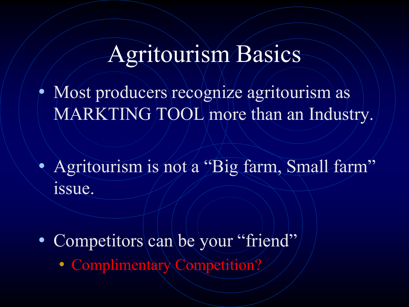#### Agritourism Basics

• Most producers recognize agritourism as MARKTING TOOL more than an Industry.

• Agritourism is not a "Big farm, Small farm" issue.

• Competitors can be your "friend"

• Complimentary Competition?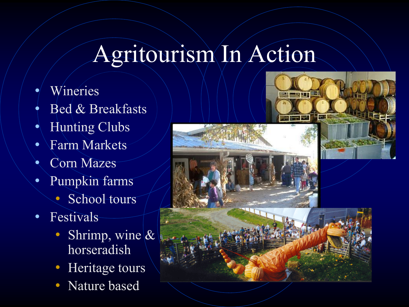## Agritourism In Action

- **Wineries**
- Bed & Breakfasts
- Hunting Clubs
- Farm Markets
- Corn Mazes
- Pumpkin farms
	- School tours
- Festivals
	- Shrimp, wine  $\&$ horseradish
	- Heritage tours
	- Nature based

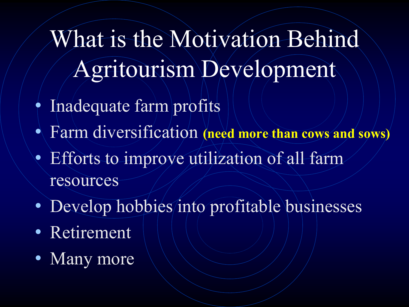What is the Motivation Behind Agritourism Development

- Inadequate farm profits
- Farm diversification **(need more than cows and sows)**
- Efforts to improve utilization of all farm resources
- Develop hobbies/into profitable businesses
- Retirement
- Many more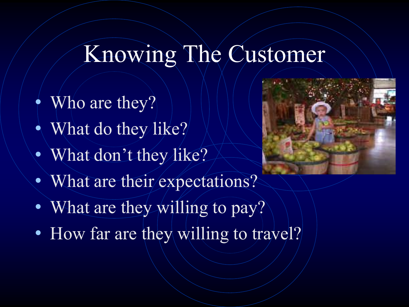## Knowing The Customer

- $\bullet$  Who are they?
- What do they like?
- What don't they like?
- What are their expectations?
- What are they willing to pay?
- How far are they willing to travel?

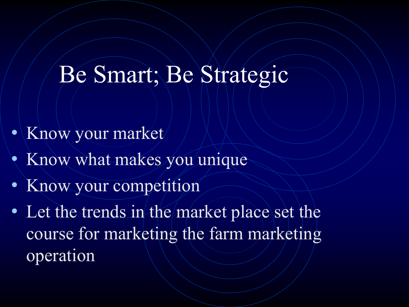## Be Smart; Be Strategic

- Know your market
- Know what makes you unique
- Know your competition
- Let the trends in the market place set the course for marketing the farm marketing operation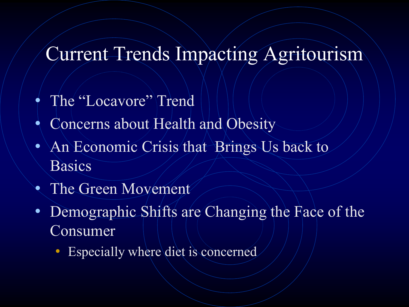#### Current Trends Impacting Agritourism

- The "Locavore" Trend
- Concerns about Health and Obesity
- An Economic Crisis that Brings Us back to **Basics**
- The Green Movement
- Demographic Shifts are Changing the Face of the Consumer
	- Especially where diet is concerned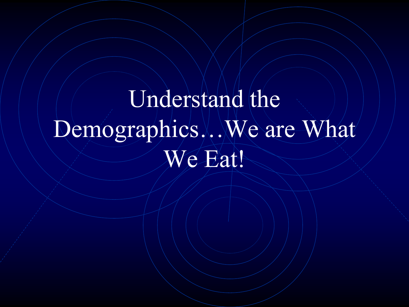# Understand the Demographics…We are What We Eat!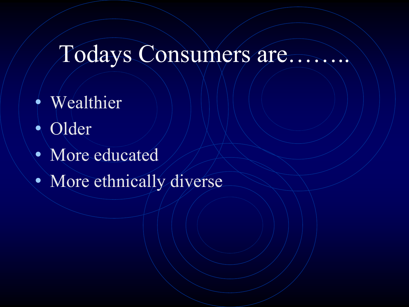## Todays Consumers are……..

- Wealthier
- Older
- More educated
- More ethnically diverse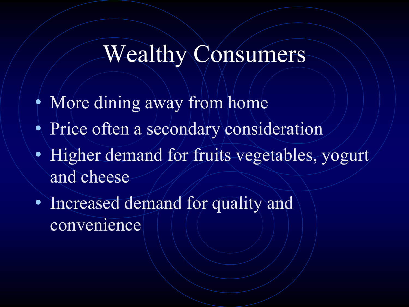#### Wealthy Consumers

- More dining away from home
- Price often a secondary consideration
- Higher demand for fruits vegetables, yogurt and cheese
- Increased demand for quality and convenience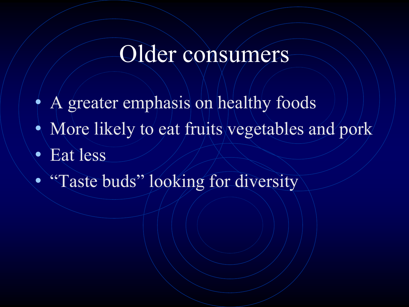#### Older consumers

- A greater emphasis on healthy foods
- More likely to eat fruits vegetables and pork
- Eat less
- "Taste buds" looking for diversity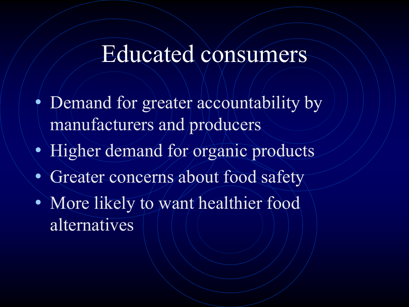#### Educated consumers

- Demand for greater accountability by manufacturers and producers
- Higher demand for organic products
- Greater concerns about food safety
- More likely to want healthier food alternatives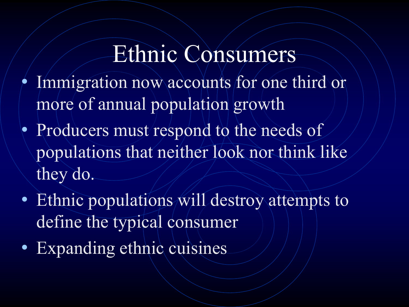## Ethnic Consumers

- Immigration now accounts for one third or more of annual population growth
- Producers must respond to the needs of populations that neither look nor think like they do.
- Ethnic populations will destroy attempts to define the typical consumer
- Expanding ethnic cuisines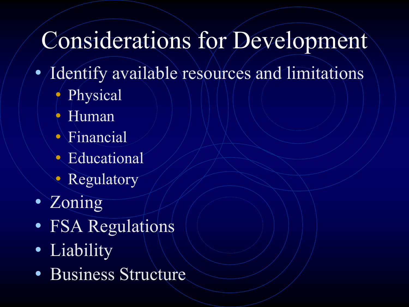## Considerations for Development

- *Identify available resources and limitations* 
	- Physical
	- Human
	- Financial
	- Educational
	- **Regulatory**
- Zoning
- FSA Regulations
- Liability
- Business Structure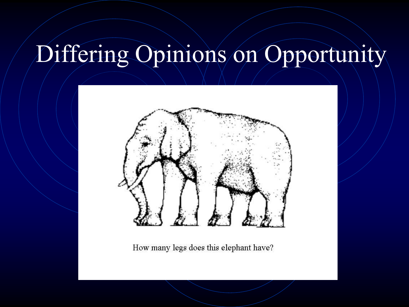## Differing Opinions on Opportunity



How many legs does this elephant have?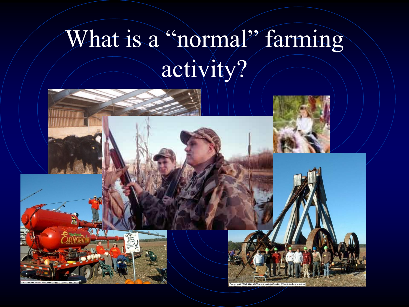# What is a "normal" farming activity?

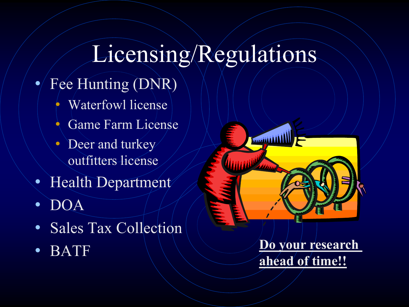## Licensing/Regulations

- Fee Hunting (DNR)
	- Waterfowl license
	- Game Farm License
	- Deer and turkey outfitters license
- Health Department
- DOA
- Sales Tax Collection
- 



• BATF **Do your research ahead of time!!**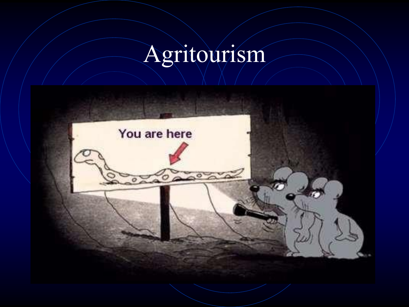# Agritourism

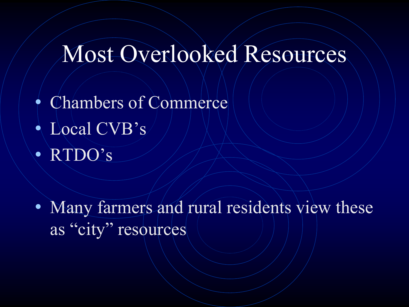## Most Overlooked Resources

- Chambers of Commerce
- Local CVB's
- RTDO's

• Many farmers and rural residents view these as "city" resources